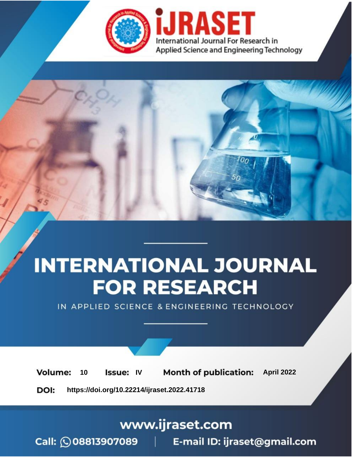

# **INTERNATIONAL JOURNAL FOR RESEARCH**

IN APPLIED SCIENCE & ENGINEERING TECHNOLOGY

10 **Issue: IV Month of publication:** April 2022 **Volume:** 

**https://doi.org/10.22214/ijraset.2022.41718**DOI:

www.ijraset.com

Call: 008813907089 | E-mail ID: ijraset@gmail.com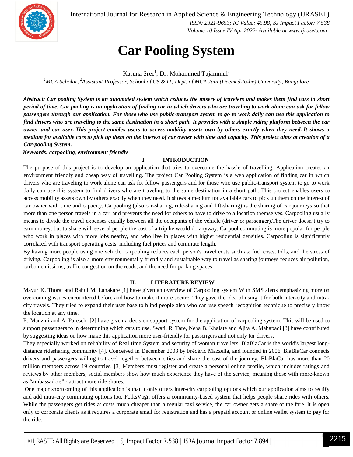

International Journal for Research in Applied Science & Engineering Technology (IJRASET**)**  *ISSN: 2321-9653; IC Value: 45.98; SJ Impact Factor: 7.538 Volume 10 Issue IV Apr 2022- Available at www.ijraset.com*

### **Car Pooling System**

Karuna Sree<sup>1</sup>, Dr. Mohammed Tajammul<sup>2</sup>

*<sup>1</sup>MCA Scholar, <sup>2</sup>Assistant Professor, School of CS & IT, Dept. of MCA Jain (Deemed-to-be) University, Bangalore*

*Abstract: Car pooling System is an automated system which reduces the misery of travelers and makes them find cars in short period of time. Car pooling is an application of finding car in which drivers who are traveling to work alone can ask for fellow passengers through our application. For those who use public-transport system to go to work daily can use this application to find drivers who are traveling to the same destination in a short path. It provides with a simple riding platform between the car owner and car user. This project enables users to access mobility assets own by others exactly when they need. It shows a medium for available cars to pick up them on the interest of car owner with time and capacity. This project aims at creation of a Car-pooling System.* 

*Keywords: carpooling, environment friendly* 

#### **I. INTRODUCTION**

The purpose of this project is to develop an application that tries to overcome the hassle of travelling. Application creates an environment friendly and cheap way of travelling. The project Car Pooling System is a web application of finding car in which drivers who are traveling to work alone can ask for fellow passengers and for those who use public-transport system to go to work daily can use this system to find drivers who are traveling to the same destination in a short path. This project enables users to access mobility assets own by others exactly when they need. It shows a medium for available cars to pick up them on the interest of car owner with time and capacity. Carpooling (also car-sharing, ride-sharing and lift-sharing) is the sharing of car journeys so that more than one person travels in a car, and prevents the need for others to have to drive to a location themselves. Carpooling usually means to divide the travel expenses equally between all the occupants of the vehicle (driver or passenger).The driver doesn't try to earn money, but to share with several people the cost of a trip he would do anyway. Carpool commuting is more popular for people who work in places with more jobs nearby, and who live in places with higher residential densities. Carpooling is significantly correlated with transport operating costs, including fuel prices and commute length.

By having more people using one vehicle, carpooling reduces each person's travel costs such as: fuel costs, tolls, and the stress of driving. Carpooling is also a more environmentally friendly and sustainable way to travel as sharing journeys reduces air pollution, carbon emissions, traffic congestion on the roads, and the need for parking spaces

#### **II. LITERATURE REVIEW**

Mayur K. Thorat and Rahul M. Lahakare [1] have given an overview of Carpooling system With SMS alerts emphasizing more on overcoming issues encountered before and how to make it more secure. They gave the idea of using it for both inter-city and intracity travels. They tried to expand their user base to blind people also who can use speech recognition technique to precisely know the location at any time.

R. Manzini and A. Pareschi [2] have given a decision support system for the application of carpooling system. This will be used to support passengers to in determining which cars to use. Swati. R. Tare, Neha B. Khalate and Ajita A. Mahapadi [3] have contributed by suggesting ideas on how make this application more user-friendly for passengers and not only for drivers.

They especially worked on reliability of Real time System and security of woman travellers. BlaBlaCar is the world's largest longdistance ridesharing community [4]. Conceived in December 2003 by Frédéric Mazzella, and founded in 2006, BlaBlaCar connects drivers and passengers willing to travel together between cities and share the cost of the journey. BlaBlaCar has more than 20 million members across 19 countries. [3] Members must register and create a personal online profile, which includes ratings and reviews by other members, social members show how much experience they have of the service, meaning those with more-known as "ambassadors" - attract more ride shares.

One major shortcoming of this application is that it only offers inter-city carpooling options which our application aims to rectify and add intra-city commuting options too. FolksVagn offers a community-based system that helps people share rides with others. While the passengers get rides at costs much cheaper than a regular taxi service, the car owner gets a share of the fare. It is open only to corporate clients as it requires a corporate email for registration and has a prepaid account or online wallet system to pay for the ride.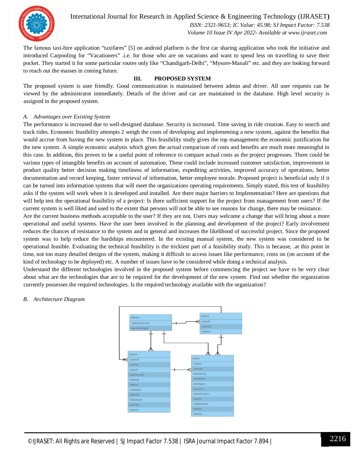

International Journal for Research in Applied Science & Engineering Technology (IJRASET**)**  *ISSN: 2321-9653; IC Value: 45.98; SJ Impact Factor: 7.538*

 *Volume 10 Issue IV Apr 2022- Available at www.ijraset.com*

The famous taxi-hire application "taxifares" [5] on android platform is the first car sharing application who took the initiative and introduced Carpooling for "Vacationers" .i.e. for those who are on vacations and want to spend less on travelling to save their pocket. They started it for some particular routes only like "Chandigarh-Delhi", "Mysore-Manali" etc. and they are looking forward to reach out the masses in coming future.

#### **III. PROPOSED SYSTEM**

The proposed system is user friendly. Good communication is maintained between admin and driver. All user requests can be viewed by the administrator immediately. Details of the driver and car are maintained in the database. High level security is assigned in the proposed system.

#### *A. Advantages over Existing System*

The performance is increased due to well-designed database. Security is increased. Time saving in ride creation. Easy to search and track rides. Economic feasibility attempts 2 weigh the costs of developing and implementing a new system, against the benefits that would accrue from having the new system in place. This feasibility study gives the top management the economic justification for the new system. A simple economic analysis which gives the actual comparison of costs and benefits are much more meaningful in this case. In addition, this proves to be a useful point of reference to compare actual costs as the project progresses. There could be various types of intangible benefits on account of automation. These could include increased customer satisfaction, improvement in product quality better decision making timeliness of information, expediting activities, improved accuracy of operations, better documentation and record keeping, faster retrieval of information, better employee morale. Proposed project is beneficial only if it can be turned into information systems that will meet the organizations operating requirements. Simply stated, this test of feasibility asks if the system will work when it is developed and installed. Are there major barriers to Implementation? Here are questions that will help test the operational feasibility of a project: Is there sufficient support for the project from management from users? If the current system is well liked and used to the extent that persons will not be able to see reasons for change, there may be resistance.

Are the current business methods acceptable to the user? If they are not, Users may welcome a change that will bring about a more operational and useful systems. Have the user been involved in the planning and development of the project? Early involvement reduces the chances of resistance to the system and in general and increases the likelihood of successful project. Since the proposed system was to help reduce the hardships encountered. In the existing manual system, the new system was considered to be operational feasible. Evaluating the technical feasibility is the trickiest part of a feasibility study. This is because, .at this point in time, not too many detailed designs of the system, making it difficult to access issues like performance, costs on (on account of the kind of technology to be deployed) etc. A number of issues have to be considered while doing a technical analysis.

Understand the different technologies involved in the proposed system before commencing the project we have to be very clear about what are the technologies that are to be required for the development of the new system. Find out whether the organization currently possesses the required technologies. Is the required technology available with the organization?

#### *B. Architecture Diagram*

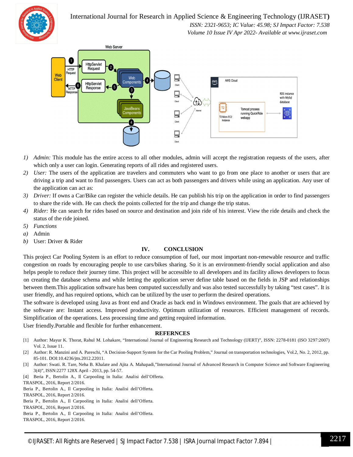International Journal for Research in Applied Science & Engineering Technology (IJRASET**)**



 *ISSN: 2321-9653; IC Value: 45.98; SJ Impact Factor: 7.538 Volume 10 Issue IV Apr 2022- Available at www.ijraset.com*



- *1) Admin:* This module has the entire access to all other modules, admin will accept the registration requests of the users, after which only a user can login. Generating reports of all rides and registered users.
- *2) User:* The users of the application are travelers and commuters who want to go from one place to another or users that are driving a trip and want to find passengers. Users can act as both passengers and drivers while using an application. Any user of the application can act as:
- *3) Driver:* If owns a Car/Bike can register the vehicle details. He can publish his trip on the application in order to find passengers to share the ride with. He can check the points collected for the trip and change the trip status.
- *4) Rider:* He can search for rides based on source and destination and join ride of his interest. View the ride details and check the status of the ride joined.
- *5) Functions*
- *a)* Admin
- *b)* User: Driver & Rider

#### **IV. CONCLUSION**

This project Car Pooling System is an effort to reduce consumption of fuel, our most important non-renewable resource and traffic congestion on roads by encouraging people to use cars/bikes sharing. So it is an environment-friendly social application and also helps people to reduce their journey time. This project will be accessible to all developers and its facility allows developers to focus on creating the database schema and while letting the application server define table based on the fields in JSP and relationships between them.This application software has been computed successfully and was also tested successfully by taking "test cases". It is user friendly, and has required options, which can be utilized by the user to perform the desired operations.

The software is developed using Java as front end and Oracle as back end in Windows environment. The goals that are achieved by the software are: Instant access. Improved productivity. Optimum utilization of resources. Efficient management of records. Simplification of the operations. Less processing time and getting required information.

User friendly.Portable and flexible for further enhancement.

#### **REFERNCES**

- [1] Author: Mayur K. Thorat, Rahul M. Lohakare, "International Journal of Engineering Research and Technology (IJERT)", ISSN: 2278-0181 (ISO 3297:2007) Vol. 2, Issue 11.
- [2] Author: R. Manzini and A. Pareschi, "A Decision-Support System for the Car Pooling Problem," Journal on transportation technologies, Vol.2, No. 2, 2012, pp. 85-101. DOI:10.4236/jtts.2012.22011.
- [3] Author: Swati. R. Tare, Neha B. Khalate and Ajita A. Mahapadi,"International Journal of Advanced Research in Computer Science and Software Engineering 3(4)", ISSN:2277 128X April - 2013, pp. 54-57.
- [4] Beria P., Bertolin A., Il Carpooling in Italia: Analisi dell'Offerta.
- TRASPOL, 2016, Report 2/2016.

Beria P., Bertolin A., Il Carpooling in Italia: Analisi dell'Offerta. TRASPOL, 2016, Report 2/2016. Beria P., Bertolin A., Il Carpooling in Italia: Analisi dell'Offerta. TRASPOL, 2016, Report 2/2016. Beria P., Bertolin A., Il Carpooling in Italia: Analisi dell'Offerta. TRASPOL, 2016, Report 2/2016.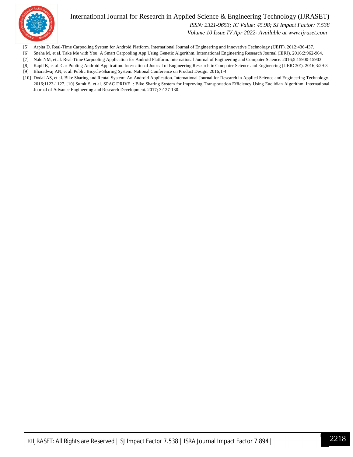

#### International Journal for Research in Applied Science & Engineering Technology (IJRASET**)**

 *ISSN: 2321-9653; IC Value: 45.98; SJ Impact Factor: 7.538*

 *Volume 10 Issue IV Apr 2022- Available at www.ijraset.com*

- [5] Arpita D. Real-Time Carpooling System for Android Platform. International Journal of Engineering and Innovative Technology (IJEIT). 2012:436-437.
- [6] Sneha M, et al. Take Me with You: A Smart Carpooling App Using Genetic Algorithm. International Engineering Research Journal (IERJ). 2016;2:962-964.
- [7] Nale NM, et al. Real-Time Carpooling Application for Android Platform. International Journal of Engineering and Computer Science. 2016;5:15900-15903.
- [8] Kapil K, et al. Car Pooling Android Application. International Journal of Engineering Research in Computer Science and Engineering (IJERCSE). 2016;3:29-3 [9] Bharadwaj AN, et al. Public Bicycle-Sharing System. National Conference on Product Design. 2016;1-4.
- [10] Dodal AS, et al. Bike Sharing and Rental System: An Android Application. International Journal for Research in Applied Science and Engineering Technology. 2016;1123-1127. [10] Sumit S, et al. SPAC DRIVE. : Bike Sharing System for Improving Transportation Efficiency Using Euclidian Algorithm. International Journal of Advance Engineering and Research Development. 2017; 3:127-130.